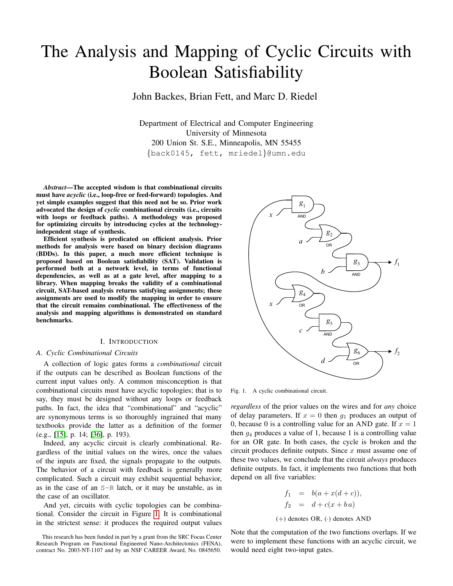# The Analysis and Mapping of Cyclic Circuits with Boolean Satisfiability

John Backes, Brian Fett, and Marc D. Riedel

Department of Electrical and Computer Engineering University of Minnesota 200 Union St. S.E., Minneapolis, MN 55455 {back0145, fett, mriedel}@umn.edu

*Abstract*—The accepted wisdom is that combinational circuits must have *acyclic* (i.e., loop-free or feed-forward) topologies. And yet simple examples suggest that this need not be so. Prior work advocated the design of *cyclic* combinational circuits (i.e., circuits with loops or feedback paths). A methodology was proposed for optimizing circuits by introducing cycles at the technologyindependent stage of synthesis.

Efficient synthesis is predicated on efficient analysis. Prior methods for analysis were based on binary decision diagrams (BDDs). In this paper, a much more efficient technique is proposed based on Boolean satisfiability (SAT). Validation is performed both at a network level, in terms of functional dependencies, as well as at a gate level, after mapping to a library. When mapping breaks the validity of a combinational circuit, SAT-based analysis returns satisfying assignments; these assignments are used to modify the mapping in order to ensure that the circuit remains combinational. The effectiveness of the analysis and mapping algorithms is demonstrated on standard benchmarks.

### I. INTRODUCTION

### *A. Cyclic Combinational Circuits*

A collection of logic gates forms a *combinational* circuit if the outputs can be described as Boolean functions of the current input values only. A common misconception is that combinational circuits must have acyclic topologies; that is to say, they must be designed without any loops or feedback paths. In fact, the idea that "combinational" and "acyclic" are synonymous terms is so thoroughly ingrained that many textbooks provide the latter as a definition of the former (e.g., [\[15\]](#page-9-0), p. 14; [\[36\]](#page-9-1), p. 193).

Indeed, any acyclic circuit is clearly combinational. Regardless of the initial values on the wires, once the values of the inputs are fixed, the signals propagate to the outputs. The behavior of a circuit with feedback is generally more complicated. Such a circuit may exhibit sequential behavior, as in the case of an S-R latch, or it may be unstable, as in the case of an oscillator.

And yet, circuits with cyclic topologies can be combinational. Consider the circuit in Figure [1.](#page-0-0) It is combinational in the strictest sense: it produces the required output values



<span id="page-0-0"></span>Fig. 1. A cyclic combinational circuit.

*regardless* of the prior values on the wires and for *any* choice of delay parameters. If  $x = 0$  then  $g_1$  produces an output of 0, because 0 is a controlling value for an AND gate. If  $x = 1$ then  $q_4$  produces a value of 1, because 1 is a controlling value for an OR gate. In both cases, the cycle is broken and the circuit produces definite outputs. Since  $x$  must assume one of these two values, we conclude that the circuit *always* produces definite outputs. In fact, it implements two functions that both depend on all five variables:

$$
f_1 = b(a + x(d + c)),
$$
  
\n
$$
f_2 = d + c(x + ba)
$$
  
\n(+) denotes OR, ( $\cdot$ ) denotes AND

Note that the computation of the two functions overlaps. If we were to implement these functions with an acyclic circuit, we would need eight two-input gates.

This research has been funded in part by a grant from the SRC Focus Center Research Program on Functional Engineered Nano-Architectonics (FENA), contract No. 2003-NT-1107 and by an NSF CAREER Award, No. 0845650.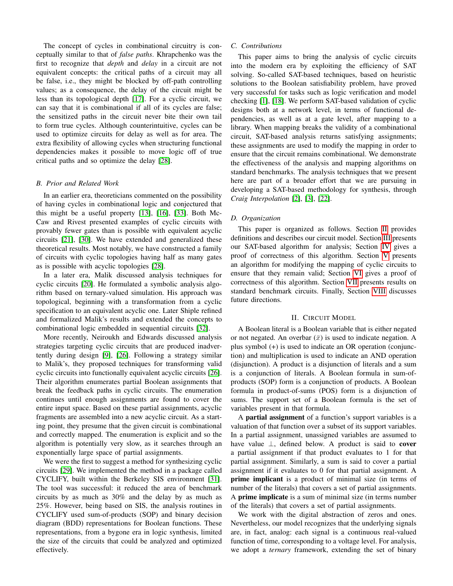The concept of cycles in combinational circuitry is conceptually similar to that of *false paths*. Khrapchenko was the first to recognize that *depth* and *delay* in a circuit are not equivalent concepts: the critical paths of a circuit may all be false, i.e., they might be blocked by off-path controlling values; as a consequence, the delay of the circuit might be less than its topological depth [\[17\]](#page-9-2). For a cyclic circuit, we can say that it is combinational if all of its cycles are false; the sensitized paths in the circuit never bite their own tail to form true cycles. Although counterintuitive, cycles can be used to optimize circuits for delay as well as for area. The extra flexibility of allowing cycles when structuring functional dependencies makes it possible to move logic off of true critical paths and so optimize the delay [\[28\]](#page-9-3).

### *B. Prior and Related Work*

In an earlier era, theoreticians commented on the possibility of having cycles in combinational logic and conjectured that this might be a useful property [\[13\]](#page-9-4), [\[16\]](#page-9-5), [\[33\]](#page-9-6). Both Mc-Caw and Rivest presented examples of cyclic circuits with provably fewer gates than is possible with equivalent acyclic circuits [\[21\]](#page-9-7), [\[30\]](#page-9-8). We have extended and generalized these theoretical results. Most notably, we have constructed a family of circuits with cyclic topologies having half as many gates as is possible with acyclic topologies [\[28\]](#page-9-3).

In a later era, Malik discussed analysis techniques for cyclic circuits [\[20\]](#page-9-9). He formulated a symbolic analysis algorithm based on ternary-valued simulation. His approach was topological, beginning with a transformation from a cyclic specification to an equivalent acyclic one. Later Shiple refined and formalized Malik's results and extended the concepts to combinational logic embedded in sequential circuits [\[32\]](#page-9-10).

More recently, Neiroukh and Edwards discussed analysis strategies targeting cyclic circuits that are produced inadvertently during design [\[9\]](#page-9-11), [\[26\]](#page-9-12). Following a strategy similar to Malik's, they proposed techniques for transforming valid cyclic circuits into functionally equivalent acyclic circuits [\[26\]](#page-9-12). Their algorithm enumerates partial Boolean assignments that break the feedback paths in cyclic circuits. The enumeration continues until enough assignments are found to cover the entire input space. Based on these partial assignments, acyclic fragments are assembled into a new acyclic circuit. As a starting point, they presume that the given circuit is combinational and correctly mapped. The enumeration is explicit and so the algorithm is potentially very slow, as it searches through an exponentially large space of partial assignments.

We were the first to suggest a method for synthesizing cyclic circuits [\[29\]](#page-9-13). We implemented the method in a package called CYCLIFY, built within the Berkeley SIS environment [\[31\]](#page-9-14). The tool was successful: it reduced the area of benchmark circuits by as much as 30% and the delay by as much as 25%. However, being based on SIS, the analysis routines in CYCLIFY used sum-of-products (SOP) and binary decision diagram (BDD) representations for Boolean functions. These representations, from a bygone era in logic synthesis, limited the size of the circuits that could be analyzed and optimized effectively.

#### *C. Contributions*

This paper aims to bring the analysis of cyclic circuits into the modern era by exploiting the efficiency of SAT solving. So-called SAT-based techniques, based on heuristic solutions to the Boolean satisfiability problem, have proved very successful for tasks such as logic verification and model checking [\[1\]](#page-9-15), [\[18\]](#page-9-16). We perform SAT-based validation of cyclic designs both at a network level, in terms of functional dependencies, as well as at a gate level, after mapping to a library. When mapping breaks the validity of a combinational circuit, SAT-based analysis returns satisfying assignments; these assignments are used to modify the mapping in order to ensure that the circuit remains combinational. We demonstrate the effectiveness of the analysis and mapping algorithms on standard benchmarks. The analysis techniques that we present here are part of a broader effort that we are pursuing in developing a SAT-based methodology for synthesis, through *Craig Interpolation* [\[2\]](#page-9-17), [\[3\]](#page-9-18), [\[22\]](#page-9-19).

#### *D. Organization*

This paper is organized as follows. Section [II](#page-1-0) provides definitions and describes our circuit model. Section [III](#page-2-0) presents our SAT-based algorithm for analysis; Section [IV](#page-4-0) gives a proof of correctness of this algorithm. Section [V](#page-4-1) presents an algorithm for modifying the mapping of cyclic circuits to ensure that they remain valid; Section [VI](#page-8-0) gives a proof of correctness of this algorithm. Section [VII](#page-8-1) presents results on standard benchmark circuits. Finally, Section [VIII](#page-9-20) discusses future directions.

#### II. CIRCUIT MODEL

<span id="page-1-0"></span>A Boolean literal is a Boolean variable that is either negated or not negated. An overbar  $(\bar{x})$  is used to indicate negation. A plus symbol (+) is used to indicate an OR operation (conjunction) and multiplication is used to indicate an AND operation (disjunction). A product is a disjunction of literals and a sum is a conjunction of literals. A Boolean formula in sum-ofproducts (SOP) form is a conjunction of products. A Boolean formula in product-of-sums (POS) form is a disjunction of sums. The support set of a Boolean formula is the set of variables present in that formula.

A partial assignment of a function's support variables is a valuation of that function over a subset of its support variables. In a partial assignment, unassigned variables are assumed to have value ⊥, defined below. A product is said to cover a partial assignment if that product evaluates to 1 for that partial assignment. Similarly, a sum is said to cover a partial assignment if it evaluates to 0 for that partial assignment. A prime implicant is a product of minimal size (in terms of number of the literals) that covers a set of partial assignments. A prime implicate is a sum of minimal size (in terms number of the literals) that covers a set of partial assignments.

We work with the digital abstraction of zeros and ones. Nevertheless, our model recognizes that the underlying signals are, in fact, analog: each signal is a continuous real-valued function of time, corresponding to a voltage level. For analysis, we adopt a *ternary* framework, extending the set of binary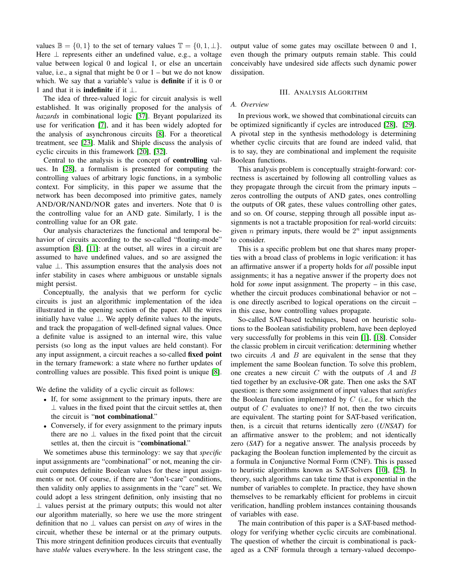values  $\mathbb{B} = \{0, 1\}$  to the set of ternary values  $\mathbb{T} = \{0, 1, \perp\}.$ Here  $\perp$  represents either an undefined value, e.g., a voltage value between logical 0 and logical 1, or else an uncertain value, i.e., a signal that might be  $0$  or  $1 -$  but we do not know which. We say that a variable's value is **definite** if it is 0 or 1 and that it is **indefinite** if it  $\perp$ .

The idea of three-valued logic for circuit analysis is well established. It was originally proposed for the analysis of *hazards* in combinational logic [\[37\]](#page-9-21). Bryant popularized its use for verification [\[7\]](#page-9-22), and it has been widely adopted for the analysis of asynchronous circuits [\[8\]](#page-9-23). For a theoretical treatment, see [\[23\]](#page-9-24). Malik and Shiple discuss the analysis of cyclic circuits in this framework [\[20\]](#page-9-9), [\[32\]](#page-9-10).

Central to the analysis is the concept of controlling values. In [\[28\]](#page-9-3), a formalism is presented for computing the controlling values of arbitrary logic functions, in a symbolic context. For simplicity, in this paper we assume that the network has been decomposed into primitive gates, namely AND/OR/NAND/NOR gates and inverters. Note that 0 is the controlling value for an AND gate. Similarly, 1 is the controlling value for an OR gate.

Our analysis characterizes the functional and temporal behavior of circuits according to the so-called "floating-mode" assumption [\[8\]](#page-9-23), [\[11\]](#page-9-25): at the outset, all wires in a circuit are assumed to have undefined values, and so are assigned the value ⊥. This assumption ensures that the analysis does not infer stability in cases where ambiguous or unstable signals might persist.

Conceptually, the analysis that we perform for cyclic circuits is just an algorithmic implementation of the idea illustrated in the opening section of the paper. All the wires initially have value  $\perp$ . We apply definite values to the inputs, and track the propagation of well-defined signal values. Once a definite value is assigned to an internal wire, this value persists (so long as the input values are held constant). For any input assignment, a circuit reaches a so-called fixed point in the ternary framework: a state where no further updates of controlling values are possible. This fixed point is unique [\[8\]](#page-9-23).

We define the validity of a cyclic circuit as follows:

- If, for some assignment to the primary inputs, there are  $\perp$  values in the fixed point that the circuit settles at, then the circuit is "not combinational."
- Conversely, if for every assignment to the primary inputs there are no  $\perp$  values in the fixed point that the circuit settles at, then the circuit is "combinational."

We sometimes abuse this terminology: we say that *specific* input assignments are "combinational" or not, meaning the circuit computes definite Boolean values for these input assignments or not. Of course, if there are "don't-care" conditions, then validity only applies to assignments in the "care" set. We could adopt a less stringent definition, only insisting that no  $\perp$  values persist at the primary outputs; this would not alter our algorithm materially, so here we use the more stringent definition that no ⊥ values can persist on *any* of wires in the circuit, whether these be internal or at the primary outputs. This more stringent definition produces circuits that eventually have *stable* values everywhere. In the less stringent case, the output value of some gates may oscillate between 0 and 1, even though the primary outputs remain stable. This could conceivably have undesired side affects such dynamic power dissipation.

## III. ANALYSIS ALGORITHM

## <span id="page-2-0"></span>*A. Overview*

In previous work, we showed that combinational circuits can be optimized significantly if cycles are introduced [\[28\]](#page-9-3), [\[29\]](#page-9-13). A pivotal step in the synthesis methodology is determining whether cyclic circuits that are found are indeed valid, that is to say, they are combinational and implement the requisite Boolean functions.

This analysis problem is conceptually straight-forward: correctness is ascertained by following all controlling values as they propagate through the circuit from the primary inputs – zeros controlling the outputs of AND gates, ones controlling the outputs of OR gates, these values controlling other gates, and so on. Of course, stepping through all possible input assignments is not a tractable proposition for real-world circuits: given *n* primary inputs, there would be  $2^n$  input assignments to consider.

This is a specific problem but one that shares many properties with a broad class of problems in logic verification: it has an affirmative answer if a property holds for *all* possible input assignments; it has a negative answer if the property does not hold for *some* input assignment. The property – in this case, whether the circuit produces combinational behavior or not is one directly ascribed to logical operations on the circuit – in this case, how controlling values propagate.

So-called SAT-based techniques, based on heuristic solutions to the Boolean satisfiability problem, have been deployed very successfully for problems in this vein [\[1\]](#page-9-15), [\[18\]](#page-9-16). Consider the classic problem in circuit verification: determining whether two circuits  $A$  and  $B$  are equivalent in the sense that they implement the same Boolean function. To solve this problem, one creates a new circuit  $C$  with the outputs of  $A$  and  $B$ tied together by an exclusive-OR gate. Then one asks the SAT question: is there some assignment of input values that *satisfies* the Boolean function implemented by  $C$  (i.e., for which the output of  $C$  evaluates to one)? If not, then the two circuits are equivalent. The starting point for SAT-based verification, then, is a circuit that returns identically zero (*UNSAT*) for an affirmative answer to the problem; and not identically zero (*SAT*) for a negative answer. The analysis proceeds by packaging the Boolean function implemented by the circuit as a formula in Conjunctive Normal Form (CNF). This is passed to heuristic algorithms known as SAT-Solvers [\[10\]](#page-9-26), [\[25\]](#page-9-27). In theory, such algorithms can take time that is exponential in the number of variables to complete. In practice, they have shown themselves to be remarkably efficient for problems in circuit verification, handling problem instances containing thousands of variables with ease.

The main contribution of this paper is a SAT-based methodology for verifying whether cyclic circuits are combinational. The question of whether the circuit is combinational is packaged as a CNF formula through a ternary-valued decompo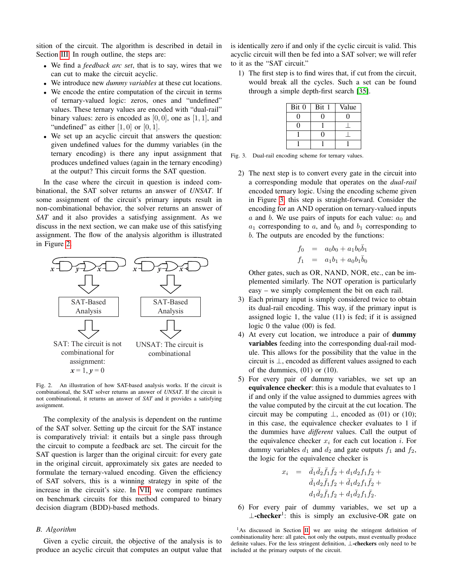sition of the circuit. The algorithm is described in detail in Section [III.](#page-2-0) In rough outline, the steps are:

- We find a *feedback arc set*, that is to say, wires that we can cut to make the circuit acyclic.
- We introduce new *dummy variables* at these cut locations.
- We encode the entire computation of the circuit in terms of ternary-valued logic: zeros, ones and "undefined" values. These ternary values are encoded with "dual-rail" binary values: zero is encoded as  $[0, 0]$ , one as  $[1, 1]$ , and "undefined" as either  $[1, 0]$  or  $[0, 1]$ .
- We set up an acyclic circuit that answers the question: given undefined values for the dummy variables (in the ternary encoding) is there any input assignment that produces undefined values (again in the ternary encoding) at the output? This circuit forms the SAT question.

In the case where the circuit in question is indeed combinational, the SAT solver returns an answer of *UNSAT*. If some assignment of the circuit's primary inputs result in non-combinational behavior, the solver returns an answer of *SAT* and it also provides a satisfying assignment. As we discuss in the next section, we can make use of this satisfying assignment. The flow of the analysis algorithm is illustrated in Figure [2.](#page-3-0)



<span id="page-3-0"></span>Fig. 2. An illustration of how SAT-based analysis works. If the circuit is combinational, the SAT solver returns an answer of *UNSAT*. If the circuit is not combinational, it returns an answer of *SAT* and it provides a satisfying assignment.

The complexity of the analysis is dependent on the runtime of the SAT solver. Setting up the circuit for the SAT instance is comparatively trivial: it entails but a single pass through the circuit to compute a feedback arc set. The circuit for the SAT question is larger than the original circuit: for every gate in the original circuit, approximately six gates are needed to formulate the ternary-valued encoding. Given the efficiency of SAT solvers, this is a winning strategy in spite of the increase in the circuit's size. In [VII,](#page-8-1) we compare runtimes on benchmark circuits for this method compared to binary decision diagram (BDD)-based methods.

## *B. Algorithm*

Given a cyclic circuit, the objective of the analysis is to produce an acyclic circuit that computes an output value that is identically zero if and only if the cyclic circuit is valid. This acyclic circuit will then be fed into a SAT solver; we will refer to it as the "SAT circuit."

1) The first step is to find wires that, if cut from the circuit, would break all the cycles. Such a set can be found through a simple depth-first search [\[35\]](#page-9-28).

| Bit 0 | Bit 1 | Value |
|-------|-------|-------|
|       |       |       |
|       |       |       |
|       |       |       |
|       |       |       |

<span id="page-3-1"></span>Fig. 3. Dual-rail encoding scheme for ternary values.

2) The next step is to convert every gate in the circuit into a corresponding module that operates on the *dual-rail* encoded ternary logic. Using the encoding scheme given in Figure [3,](#page-3-1) this step is straight-forward. Consider the encoding for an AND operation on ternary-valued inputs a and b. We use pairs of inputs for each value:  $a_0$  and  $a_1$  corresponding to a, and  $b_0$  and  $b_1$  corresponding to b. The outputs are encoded by the functions:

$$
f_0 = a_0b_0 + a_1b_0\bar{b}_1
$$
  

$$
f_1 = a_1b_1 + a_0b_1\bar{b}_0
$$

Other gates, such as OR, NAND, NOR, etc., can be implemented similarly. The NOT operation is particularly easy – we simply complement the bit on each rail.

- 3) Each primary input is simply considered twice to obtain its dual-rail encoding. This way, if the primary input is assigned logic 1, the value (11) is fed; if it is assigned logic 0 the value (00) is fed.
- 4) At every cut location, we introduce a pair of dummy variables feeding into the corresponding dual-rail module. This allows for the possibility that the value in the circuit is ⊥, encoded as different values assigned to each of the dummies, (01) or (10).
- 5) For every pair of dummy variables, we set up an equivalence checker: this is a module that evaluates to 1 if and only if the value assigned to dummies agrees with the value computed by the circuit at the cut location. The circuit may be computing  $\perp$ , encoded as (01) or (10); in this case, the equivalence checker evaluates to 1 if the dummies have *different* values. Call the output of the equivalence checker  $x_i$  for each cut location i. For dummy variables  $d_1$  and  $d_2$  and gate outputs  $f_1$  and  $f_2$ , the logic for the equivalence checker is

$$
x_i = \bar{d}_1 \bar{d}_2 \bar{f}_1 \bar{f}_2 + d_1 d_2 f_1 f_2 +
$$
  
\n
$$
\bar{d}_1 d_2 \bar{f}_1 f_2 + \bar{d}_1 d_2 f_1 \bar{f}_2 +
$$
  
\n
$$
d_1 \bar{d}_2 \bar{f}_1 f_2 + d_1 \bar{d}_2 f_1 \bar{f}_2.
$$

6) For every pair of dummy variables, we set up a  $\perp$ -checker<sup>1</sup>: this is simply an exclusive-OR gate on

<sup>&</sup>lt;sup>1</sup>As discussed in Section [II,](#page-1-0) we are using the stringent definition of combinationality here: all gates, not only the outputs, must eventually produce definite values. For the less stringent definition, ⊥-checkers only need to be included at the primary outputs of the circuit.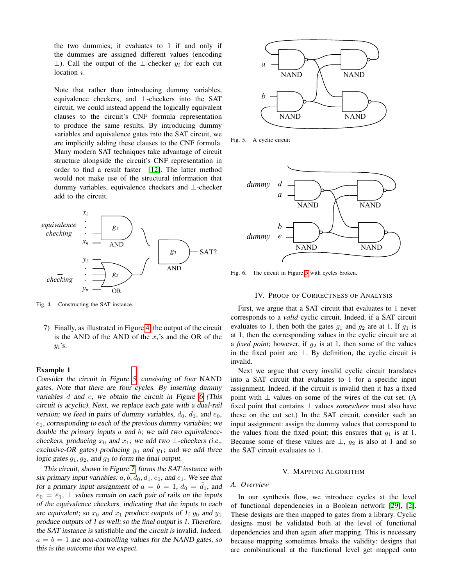the two dummies; it evaluates to 1 if and only if the dummies are assigned different values (encoding ⊥). Call the output of the ⊥-checker  $y_i$  for each cut location *i*.

Note that rather than introducing dummy variables, equivalence checkers, and ⊥-checkers into the SAT circuit, we could instead append the logically equivalent clauses to the circuit's CNF formula representation to produce the same results. By introducing dummy variables and equivalence gates into the SAT circuit, we are implicitly adding these clauses to the CNF formula. Many modern SAT techniques take advantage of circuit structure alongside the circuit's CNF representation in order to find a result faster [\[12\]](#page-9-29). The latter method would not make use of the structural information that dummy variables, equivalence checkers and ⊥-checker add to the circuit.



<span id="page-4-2"></span>Fig. 4. Constructing the SAT instance.

7) Finally, as illustrated in Figure [4,](#page-4-2) the output of the circuit is the AND of the AND of the  $x_i$ 's and the OR of the  $y_i$ 's.

### Example 1

Consider the circuit in Figure [5,](#page-4-3) consisting of four NAND gates. Note that there are four cycles. By inserting dummy variables  $d$  and  $e$ , we obtain the circuit in Figure [6](#page-4-4) (This circuit is acyclic). Next, we replace each gate with a dual-rail version; we feed in pairs of dummy variables,  $d_0$ ,  $d_1$ , and  $e_0$ ,  $e_1$ , corresponding to each of the previous dummy variables; we double the primary inputs  $a$  and  $b$ ; we add two equivalencecheckers, producing  $x_0$  and  $x_1$ ; we add two ⊥-checkers (i.e., exclusive-OR gates) producing  $y_0$  and  $y_1$ ; and we add three logic gates  $g_1, g_2$ , and  $g_3$  to form the final output.

This circuit, shown in Figure [7,](#page-5-0) forms the SAT instance with six primary input variables:  $a, b, d_0, d_1, e_0$ , and  $e_1$ . We see that for a primary input assignment of  $a = b = 1$ ,  $d_0 = \overline{d_1}$ , and  $e_0 = \overline{e}_1$ ,  $\perp$  values remain on each pair of rails on the inputs of the equivalence checkers, indicating that the inputs to each are equivalent; so  $x_0$  and  $x_1$  produce outputs of 1;  $y_0$  and  $y_1$ produce outputs of 1 as well; so the final output is 1. Therefore, the SAT instance is satisfiable and the circuit is invalid. Indeed,  $a = b = 1$  are non-controlling values for the NAND gates, so this is the outcome that we expect.



<span id="page-4-3"></span>Fig. 5. A cyclic circuit



<span id="page-4-4"></span>Fig. 6. The circuit in Figure [5](#page-4-3) with cycles broken.

### IV. PROOF OF CORRECTNESS OF ANALYSIS

<span id="page-4-0"></span>First, we argue that a SAT circuit that evaluates to 1 never corresponds to a *valid* cyclic circuit. Indeed, if a SAT circuit evaluates to 1, then both the gates  $g_1$  and  $g_2$  are at 1. If  $g_1$  is at 1, then the corresponding values in the cyclic circuit are at a *fixed point*; however, if  $g_2$  is at 1, then some of the values in the fixed point are ⊥. By definition, the cyclic circuit is invalid.

Next we argue that every invalid cyclic circuit translates into a SAT circuit that evaluates to 1 for a specific input assignment. Indeed, if the circuit is invalid then it has a fixed point with  $\perp$  values on some of the wires of the cut set. (A fixed point that contains ⊥ values *somewhere* must also have these on the cut set.) In the SAT circuit, consider such an input assignment: assign the dummy values that correspond to the values from the fixed point; this ensures that  $g_1$  is at 1. Because some of these values are  $\perp$ ,  $g_2$  is also at 1 and so the SAT circuit evaluates to 1.

#### V. MAPPING ALGORITHM

## <span id="page-4-1"></span>*A. Overview*

In our synthesis flow, we introduce cycles at the level of functional dependencies in a Boolean network [\[29\]](#page-9-13), [\[2\]](#page-9-17). These designs are then mapped to gates from a library. Cyclic designs must be validated both at the level of functional dependencies and then again after mapping. This is necessary because mapping sometimes breaks the validity: designs that are combinational at the functional level get mapped onto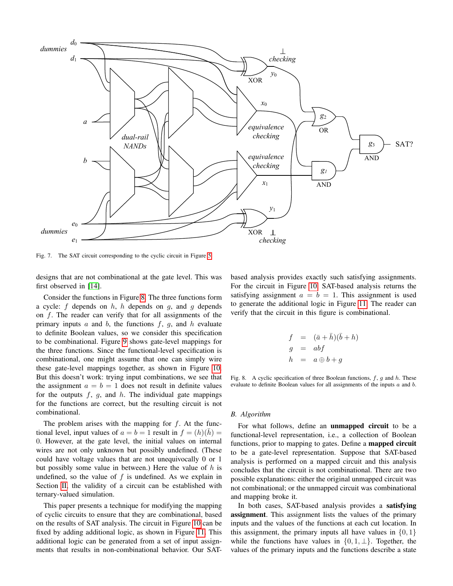

<span id="page-5-0"></span>Fig. 7. The SAT circuit corresponding to the cyclic circuit in Figure [5.](#page-4-3)

designs that are not combinational at the gate level. This was first observed in [\[14\]](#page-9-30).

Consider the functions in Figure [8.](#page-5-1) The three functions form a cycle: f depends on h, h depends on q, and q depends on  $f$ . The reader can verify that for all assignments of the primary inputs  $a$  and  $b$ , the functions  $f$ ,  $g$ , and  $h$  evaluate to definite Boolean values, so we consider this specification to be combinational. Figure [9](#page-6-0) shows gate-level mappings for the three functions. Since the functional-level specification is combinational, one might assume that one can simply wire these gate-level mappings together, as shown in Figure [10.](#page-6-1) But this doesn't work: trying input combinations, we see that the assignment  $a = b = 1$  does not result in definite values for the outputs  $f$ ,  $g$ , and  $h$ . The individual gate mappings for the functions are correct, but the resulting circuit is not combinational.

The problem arises with the mapping for  $f$ . At the functional level, input values of  $a = b = 1$  result in  $f = (h)(h) =$ 0. However, at the gate level, the initial values on internal wires are not only unknown but possibly undefined. (These could have voltage values that are not unequivocally 0 or 1 but possibly some value in between.) Here the value of  $h$  is undefined, so the value of  $f$  is undefined. As we explain in Section [II,](#page-1-0) the validity of a circuit can be established with ternary-valued simulation.

This paper presents a technique for modifying the mapping of cyclic circuits to ensure that they are combinational, based on the results of SAT analysis. The circuit in Figure [10](#page-6-1) can be fixed by adding additional logic, as shown in Figure [11.](#page-6-2) This additional logic can be generated from a set of input assignments that results in non-combinational behavior. Our SAT- based analysis provides exactly such satisfying assignments. For the circuit in Figure [10,](#page-6-1) SAT-based analysis returns the satisfying assignment  $a = b = 1$ . This assignment is used to generate the additional logic in Figure [11.](#page-6-2) The reader can verify that the circuit in this figure is combinational.

$$
f = (\bar{a} + \bar{h})(\bar{b} + h)
$$
  
\n
$$
g = abf
$$
  
\n
$$
h = a \oplus b + g
$$

<span id="page-5-1"></span>Fig. 8. A cyclic specification of three Boolean functions,  $f$ ,  $g$  and  $h$ . These evaluate to definite Boolean values for all assignments of the inputs a and b.

#### *B. Algorithm*

For what follows, define an unmapped circuit to be a functional-level representation, i.e., a collection of Boolean functions, prior to mapping to gates. Define a **mapped circuit** to be a gate-level representation. Suppose that SAT-based analysis is performed on a mapped circuit and this analysis concludes that the circuit is not combinational. There are two possible explanations: either the original unmapped circuit was not combinational; or the unmapped circuit was combinational and mapping broke it.

In both cases, SAT-based analysis provides a satisfying assignment. This assignment lists the values of the primary inputs and the values of the functions at each cut location. In this assignment, the primary inputs all have values in  $\{0, 1\}$ while the functions have values in  $\{0, 1, \perp\}$ . Together, the values of the primary inputs and the functions describe a state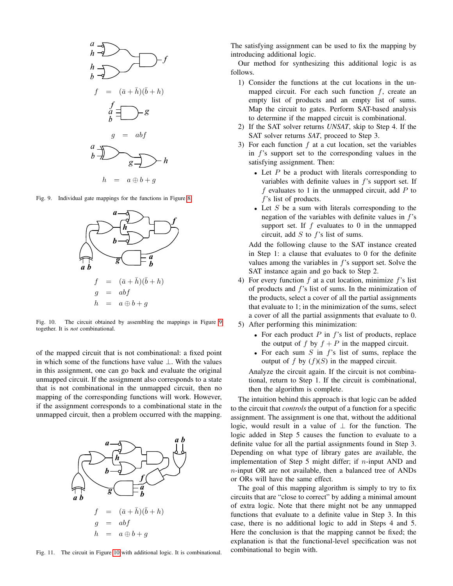

Fig. 9. Individual gate mappings for the functions in Figure [8.](#page-5-1)

<span id="page-6-0"></span>

<span id="page-6-1"></span>Fig. 10. The circuit obtained by assembling the mappings in Figure [9](#page-6-0) together. It is *not* combinational.

of the mapped circuit that is not combinational: a fixed point in which some of the functions have value ⊥. With the values in this assignment, one can go back and evaluate the original unmapped circuit. If the assignment also corresponds to a state that is not combinational in the unmapped circuit, then no mapping of the corresponding functions will work. However, if the assignment corresponds to a combinational state in the unmapped circuit, then a problem occurred with the mapping.



<span id="page-6-2"></span>Fig. 11. The circuit in Figure [10](#page-6-1) with additional logic. It is combinational.

The satisfying assignment can be used to fix the mapping by introducing additional logic.

Our method for synthesizing this additional logic is as follows.

- 1) Consider the functions at the cut locations in the unmapped circuit. For each such function  $f$ , create an empty list of products and an empty list of sums. Map the circuit to gates. Perform SAT-based analysis to determine if the mapped circuit is combinational.
- 2) If the SAT solver returns *UNSAT*, skip to Step 4. If the SAT solver returns *SAT*, proceed to Step 3.
- 3) For each function  $f$  at a cut location, set the variables in f's support set to the corresponding values in the satisfying assignment. Then:
	- Let  $P$  be a product with literals corresponding to variables with definite values in f's support set. If  $f$  evaluates to 1 in the unmapped circuit, add  $P$  to f's list of products.
	- Let  $S$  be a sum with literals corresponding to the negation of the variables with definite values in f's support set. If  $f$  evaluates to 0 in the unmapped circuit, add  $S$  to  $f$ 's list of sums.

Add the following clause to the SAT instance created in Step 1: a clause that evaluates to 0 for the definite values among the variables in  $f$ 's support set. Solve the SAT instance again and go back to Step 2.

- 4) For every function  $f$  at a cut location, minimize  $f$ 's list of products and f's list of sums. In the minimization of the products, select a cover of all the partial assignments that evaluate to 1; in the minimization of the sums, select a cover of all the partial assignments that evaluate to 0.
- 5) After performing this minimization:
	- For each product  $P$  in  $f$ 's list of products, replace the output of f by  $f + P$  in the mapped circuit.
	- For each sum  $S$  in  $f$ 's list of sums, replace the output of f by  $(f)(S)$  in the mapped circuit.

Analyze the circuit again. If the circuit is not combinational, return to Step 1. If the circuit is combinational, then the algorithm is complete.

The intuition behind this approach is that logic can be added to the circuit that *controls* the output of a function for a specific assignment. The assignment is one that, without the additional logic, would result in a value of  $\perp$  for the function. The logic added in Step 5 causes the function to evaluate to a definite value for all the partial assignments found in Step 3. Depending on what type of library gates are available, the implementation of Step 5 might differ; if  $n$ -input AND and n-input OR are not available, then a balanced tree of ANDs or ORs will have the same effect.

The goal of this mapping algorithm is simply to try to fix circuits that are "close to correct" by adding a minimal amount of extra logic. Note that there might not be any unmapped functions that evaluate to a definite value in Step 3. In this case, there is no additional logic to add in Steps 4 and 5. Here the conclusion is that the mapping cannot be fixed; the explanation is that the functional-level specification was not combinational to begin with.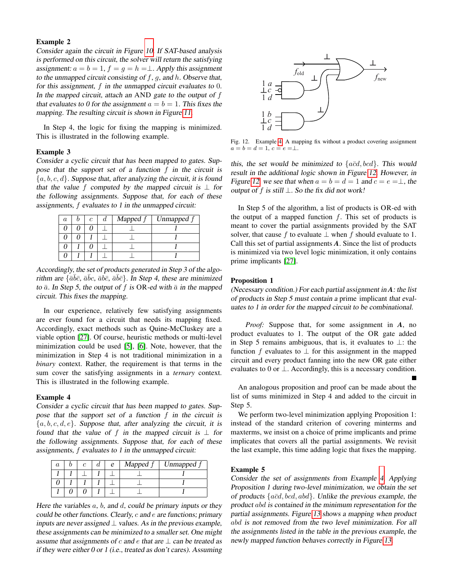## Example 2

Consider again the circuit in Figure [10.](#page-6-1) If SAT-based analysis is performed on this circuit, the solver will return the satisfying assignment:  $a = b = 1$ ,  $f = g = h = \perp$ . Apply this assignment to the unmapped circuit consisting of  $f$ ,  $g$ , and  $h$ . Observe that, for this assignment,  $f$  in the unmapped circuit evaluates to  $0$ . In the mapped circuit, attach an AND gate to the output of  $f$ that evaluates to 0 for the assignment  $a = b = 1$ . This fixes the mapping. The resulting circuit is shown in Figure [11.](#page-6-2)

In Step 4, the logic for fixing the mapping is minimized. This is illustrated in the following example.

#### Example 3

Consider a cyclic circuit that has been mapped to gates. Suppose that the support set of a function f in the circuit is  ${a, b, c, d}$ . Suppose that, after analyzing the circuit, it is found that the value f computed by the mapped circuit is  $\perp$  for the following assignments. Suppose that, for each of these assignments, f evaluates to 1 in the unmapped circuit:

|  | c | Mapped f | Unmapped f |
|--|---|----------|------------|
|  |   |          |            |
|  |   |          |            |
|  |   |          |            |
|  |   |          |            |

Accordingly, the set of products generated in Step 3 of the algorithm are  $\{\bar{a}\bar{b}\bar{c}, \bar{a}\bar{b}c, \bar{a}\bar{b}\bar{c}, \bar{a}\bar{b}\bar{c}\}$ . In Step 4, these are minimized to  $\bar{a}$ . In Step 5, the output of f is OR-ed with  $\bar{a}$  in the mapped circuit. This fixes the mapping.

In our experience, relatively few satisfying assignments are ever found for a circuit that needs its mapping fixed. Accordingly, exact methods such as Quine-McCluskey are a viable option [\[27\]](#page-9-31). Of course, heuristic methods or multi-level minimization could be used [\[5\]](#page-9-32), [\[6\]](#page-9-33). Note, however, that the minimization in Step 4 is not traditional minimization in a *binary* context. Rather, the requirement is that terms in the sum cover the satisfying assignments in a *ternary* context. This is illustrated in the following example.

#### <span id="page-7-0"></span>Example 4

Consider a cyclic circuit that has been mapped to gates. Suppose that the support set of a function  $f$  in the circuit is  ${a, b, c, d, e}$ . Suppose that, after analyzing the circuit, it is found that the value of f in the mapped circuit is  $\perp$  for the following assignments. Suppose that, for each of these assignments, f evaluates to 1 in the unmapped circuit:

|  |  | e | Mapped: | Unmapped $f$ |  |  |
|--|--|---|---------|--------------|--|--|
|  |  |   |         |              |  |  |
|  |  |   |         |              |  |  |
|  |  |   |         |              |  |  |

Here the variables  $a, b,$  and  $d,$  could be primary inputs or they could be other functions. Clearly, c and e are functions; primary inputs are never assigned  $\perp$  values. As in the previous example, these assignments can be minimized to a smaller set. One might assume that assignments of c and e that are  $\perp$  can be treated as if they were either 0 or 1 (i.e., treated as don't cares). Assuming



<span id="page-7-1"></span>Fig. 12. Example [4:](#page-7-0) A mapping fix without a product covering assignment  $a = b = d = 1, c = e = \perp$ .

this, the set would be minimized to  $\{a\bar{c}d, bcd\}$ . This would result in the additional logic shown in Figure [12.](#page-7-1) However, in Figure [12,](#page-7-1) we see that when  $a = b = d = 1$  and  $c = e = \perp$ , the output of f is still  $⊥$ . So the fix did not work!

In Step 5 of the algorithm, a list of products is OR-ed with the output of a mapped function  $f$ . This set of products is meant to cover the partial assignments provided by the SAT solver, that cause f to evaluate  $\perp$  when f should evaluate to 1. Call this set of partial assignments *A*. Since the list of products is minimized via two level logic minimization, it only contains prime implicants [\[27\]](#page-9-31).

## Proposition 1

(Necessary condition.) For each partial assignment in *A*: the list of products in Step 5 must contain a prime implicant that evaluates to 1 in order for the mapped circuit to be combinational.

*Proof:* Suppose that, for some assignment in *A*, no product evaluates to 1. The output of the OR gate added in Step 5 remains ambiguous, that is, it evaluates to ⊥: the function f evaluates to  $\perp$  for this assignment in the mapped circuit and every product fanning into the new OR gate either evaluates to 0 or  $\perp$ . Accordingly, this is a necessary condition.

An analogous proposition and proof can be made about the list of sums minimized in Step 4 and added to the circuit in Step 5.

We perform two-level minimization applying Proposition 1: instead of the standard criterion of covering minterms and maxterms, we insist on a choice of prime implicants and prime implicates that covers all the partial assignments. We revisit the last example, this time adding logic that fixes the mapping.

### <span id="page-7-2"></span>Example 5

Consider the set of assignments from Example [4.](#page-7-0) Applying Proposition 1 during two-level minimization, we obtain the set of products  $\{\overline{acd}, \overline{bcd}, \overline{abd}\}$ . Unlike the previous example, the product abd is contained in the minimum representation for the partial assignments. Figure [13](#page-8-2) shows a mapping when product abd is not removed from the two level minimization. For all the assignments listed in the table in the previous example, the newly mapped function behaves correctly in Figure [13.](#page-8-2)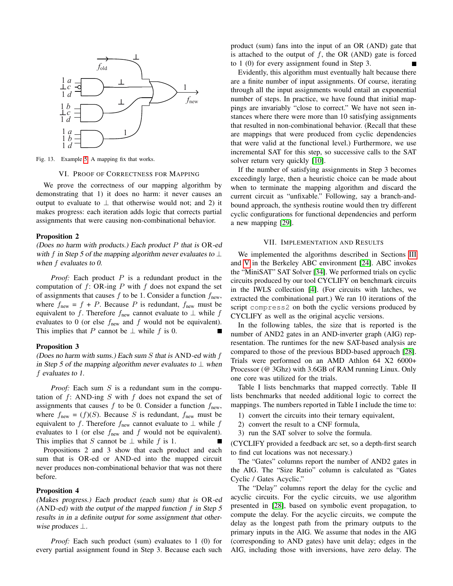

<span id="page-8-0"></span>Fig. 13. Example [5:](#page-7-2) A mapping fix that works.

<span id="page-8-2"></span>VI. PROOF OF CORRECTNESS FOR MAPPING

We prove the correctness of our mapping algorithm by demonstrating that 1) it does no harm: it never causes an output to evaluate to  $\perp$  that otherwise would not; and 2) it makes progress: each iteration adds logic that corrects partial assignments that were causing non-combinational behavior.

### Proposition 2

(Does no harm with products.) Each product  $P$  that is  $OR$ -ed with f in Step 5 of the mapping algorithm never evaluates to  $\perp$ when  $f$  evaluates to  $0$ .

*Proof:* Each product P is a redundant product in the computation of  $f: OR$ -ing P with f does not expand the set of assignments that causes  $f$  to be 1. Consider a function  $f_{\text{new}}$ , where  $f_{\text{new}} = f + P$ . Because P is redundant,  $f_{\text{new}}$  must be equivalent to f. Therefore  $f_{\text{new}}$  cannot evaluate to  $\perp$  while f evaluates to 0 (or else  $f_{\text{new}}$  and f would not be equivalent). This implies that P cannot be  $\perp$  while f is 0.

#### Proposition 3

(Does no harm with sums.) Each sum  $S$  that is AND-ed with  $f$ in Step 5 of the mapping algorithm never evaluates to  $\perp$  when f evaluates to 1.

*Proof:* Each sum S is a redundant sum in the computation of  $f$ : AND-ing  $S$  with  $f$  does not expand the set of assignments that causes  $f$  to be 0. Consider a function  $f_{\text{new}}$ , where  $f_{\text{new}} = (f)(S)$ . Because S is redundant,  $f_{\text{new}}$  must be equivalent to f. Therefore  $f_{\text{new}}$  cannot evaluate to  $\perp$  while f evaluates to 1 (or else  $f_{\text{new}}$  and  $f$  would not be equivalent). This implies that S cannot be  $\perp$  while f is 1.

Propositions 2 and 3 show that each product and each sum that is OR-ed or AND-ed into the mapped circuit never produces non-combinational behavior that was not there before.

#### Proposition 4

(Makes progress.) Each product (each sum) that is OR-ed (AND-ed) with the output of the mapped function  $f$  in Step 5 results in in a definite output for some assignment that otherwise produces  $\perp$ .

*Proof:* Each such product (sum) evaluates to 1 (0) for every partial assignment found in Step 3. Because each such

product (sum) fans into the input of an OR (AND) gate that is attached to the output of  $f$ , the OR (AND) gate is forced to 1 (0) for every assignment found in Step 3.

Evidently, this algorithm must eventually halt because there are a finite number of input assignments. Of course, iterating through all the input assignments would entail an exponential number of steps. In practice, we have found that initial mappings are invariably "close to correct." We have not seen instances where there were more than 10 satisfying assignments that resulted in non-combinational behavior. (Recall that these are mappings that were produced from cyclic dependencies that were valid at the functional level.) Furthermore, we use incremental SAT for this step, so successive calls to the SAT solver return very quickly [\[10\]](#page-9-26).

If the number of satisfying assignments in Step 3 becomes exceedingly large, then a heuristic choice can be made about when to terminate the mapping algorithm and discard the current circuit as "unfixable." Following, say a branch-andbound approach, the synthesis routine would then try different cyclic configurations for functional dependencies and perform a new mapping [\[29\]](#page-9-13).

### VII. IMPLEMENTATION AND RESULTS

<span id="page-8-1"></span>We implemented the algorithms described in Sections [III](#page-2-0) and [V](#page-4-1) in the Berkeley ABC environment [\[24\]](#page-9-34). ABC invokes the "MiniSAT" SAT Solver [\[34\]](#page-9-35). We performed trials on cyclic circuits produced by our tool CYCLIFY on benchmark circuits in the IWLS collection [\[4\]](#page-9-36). (For circuits with latches, we extracted the combinational part.) We ran 10 iterations of the script compress2 on both the cyclic versions produced by CYCLIFY as well as the original acyclic versions.

In the following tables, the size that is reported is the number of AND2 gates in an AND-inverter graph (AIG) representation. The runtimes for the new SAT-based analysis are compared to those of the previous BDD-based approach [\[28\]](#page-9-3). Trials were performed on an AMD Athlon 64 X2 6000+ Processor (@ 3Ghz) with 3.6GB of RAM running Linux. Only one core was utilized for the trials.

Table I lists benchmarks that mapped correctly. Table II lists benchmarks that needed additional logic to correct the mappings. The numbers reported in Table I include the time to:

- 1) convert the circuits into their ternary equivalent,
- 2) convert the result to a CNF formula,
- 3) run the SAT solver to solve the formula.

(CYCLIFY provided a feedback arc set, so a depth-first search to find cut locations was not necessary.)

The "Gates" columns report the number of AND2 gates in the AIG. The "Size Ratio" column is calculated as "Gates Cyclic / Gates Acyclic."

The "Delay" columns report the delay for the cyclic and acyclic circuits. For the cyclic circuits, we use algorithm presented in [\[28\]](#page-9-3), based on symbolic event propagation, to compute the delay. For the acyclic circuits, we compute the delay as the longest path from the primary outputs to the primary inputs in the AIG. We assume that nodes in the AIG (corresponding to AND gates) have unit delay; edges in the AIG, including those with inversions, have zero delay. The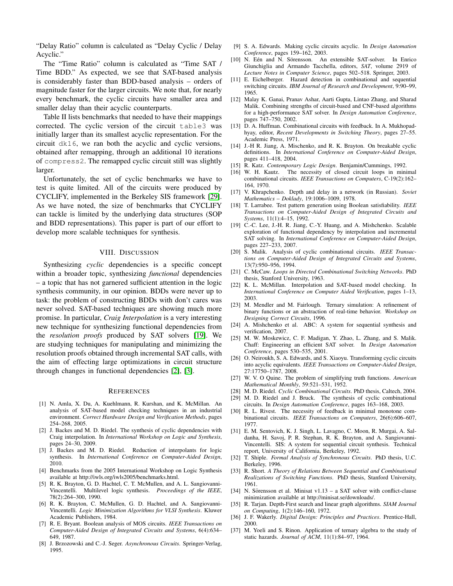"Delay Ratio" column is calculated as "Delay Cyclic / Delay Acyclic."

The "Time Ratio" column is calculated as "Time SAT / Time BDD." As expected, we see that SAT-based analysis is considerably faster than BDD-based analysis – orders of magnitude faster for the larger circuits. We note that, for nearly every benchmark, the cyclic circuits have smaller area and smaller delay than their acyclic counterparts.

Table II lists benchmarks that needed to have their mappings corrected. The cyclic version of the circuit table3 was initially larger than its smallest acyclic representation. For the circuit dk16, we ran both the acyclic and cyclic versions, obtained after remapping, through an additional 10 iterations of compress2. The remapped cyclic circuit still was slightly larger.

Unfortunately, the set of cyclic benchmarks we have to test is quite limited. All of the circuits were produced by CYCLIFY, implemented in the Berkeley SIS framework [\[29\]](#page-9-13). As we have noted, the size of benchmarks that CYCLIFY can tackle is limited by the underlying data structures (SOP and BDD representations). This paper is part of our effort to develop more scalable techniques for synthesis.

#### VIII. DISCUSSION

<span id="page-9-20"></span>Synthesizing *cyclic* dependencies is a specific concept within a broader topic, synthesizing *functional* dependencies – a topic that has not garnered sufficient attention in the logic synthesis community, in our opinion. BDDs were never up to task: the problem of constructing BDDs with don't cares was never solved. SAT-based techniques are showing much more promise. In particular, *Craig Interpolation* is a very interesting new technique for synthesizing functional dependencies from the *resolution proofs* produced by SAT solvers [\[19\]](#page-9-37). We are studying techniques for manipulating and minimizing the resolution proofs obtained through incremental SAT calls, with the aim of effecting large optimizations in circuit structure through changes in functional dependencies [\[2\]](#page-9-17), [\[3\]](#page-9-18).

#### **REFERENCES**

- <span id="page-9-15"></span>[1] N. Amla, X. Du, A. Kuehlmann, R. Kurshan, and K. McMillan. An analysis of SAT-based model checking techniques in an industrial environment. *Correct Hardware Design and Verification Methods*, pages 254–268, 2005.
- <span id="page-9-17"></span>[2] J. Backes and M. D. Riedel. The synthesis of cyclic dependencies with Craig interpolation. In *International Workshop on Logic and Synthesis*, pages 24–30, 2009.
- <span id="page-9-18"></span>[3] J. Backes and M. D. Riedel. Reduction of interpolants for logic synthesis. In *International Conference on Computer-Aided Design*, 2010.
- <span id="page-9-36"></span>[4] Benchmarks from the 2005 International Workshop on Logic Synthesis available at http://iwls.org/iwls2005/benchmarks.html.
- <span id="page-9-32"></span>[5] R. K. Brayton, G. D. Hachtel, C. T. McMullen, and A. L. Sangiovanni-Vincentelli. Multilevel logic synthesis. *Proceedings of the IEEE*, 78(2):264–300, 1990.
- <span id="page-9-33"></span>[6] R. K. Brayton, C. McMullen, G. D. Hachtel, and A. Sangiovanni-Vincentelli. *Logic Minimization Algorithms for VLSI Synthesis*. Kluwer Academic Publishers, 1984.
- <span id="page-9-22"></span>[7] R. E. Bryant. Boolean analysis of MOS circuits. *IEEE Transactions on Computer-Aided Design of Integrated Circuits and Systems*, 6(4):634– 649, 1987.
- <span id="page-9-23"></span>[8] J. Brzozowski and C.-J. Seger. *Asynchronous Circuits*. Springer-Verlag, 1995.
- <span id="page-9-11"></span>[9] S. A. Edwards. Making cyclic circuits acyclic. In *Design Automation Conference*, pages 159–162, 2003.
- <span id="page-9-26"></span>[10] N. Eén and N. Sörensson. An extensible SAT-solver. In Enrico Giunchiglia and Armando Tacchella, editors, *SAT*, volume 2919 of *Lecture Notes in Computer Science*, pages 502–518. Springer, 2003.
- <span id="page-9-25"></span>[11] E. Eichelberger. Hazard detection in combinational and sequential switching circuits. *IBM Journal of Research and Development*, 9:90–99, 1965.
- <span id="page-9-29"></span>[12] Malay K. Ganai, Pranav Ashar, Aarti Gupta, Lintao Zhang, and Sharad Malik. Combining strengths of circuit-based and CNF-based algorithms for a high-performance SAT solver. In *Design Automation Conference*, pages 747–750, 2002.
- <span id="page-9-4"></span>[13] D. A. Huffman. Combinational circuits with feedback. In A. Mukhopadhyay, editor, *Recent Developments in Switching Theory*, pages 27–55. Academic Press, 1971.
- <span id="page-9-30"></span>[14] J.-H R. Jiang, A. Mischenko, and R. K. Brayton. On breakable cyclic definitions. In *International Conference on Computer-Aided Design*, pages 411–418, 2004.
- <span id="page-9-0"></span>[15] R. Katz. *Contemporary Logic Design*. Benjamin/Cummings, 1992.
- <span id="page-9-5"></span>[16] W. H. Kautz. The necessity of closed circuit loops in minimal combinational circuits. *IEEE Transactions on Computers*, C-19(2):162– 164, 1970.
- <span id="page-9-2"></span>[17] V. Khrapchenko. Depth and delay in a network (in Russian). *Soviet Mathematics – Doklady*, 19:1006–1009, 1978.
- <span id="page-9-16"></span>[18] T. Larrabee. Test pattern generation using Boolean satisfiability. *IEEE Transactions on Computer-Aided Design of Integrated Circuits and Systems*, 11(1):4–15, 1992.
- <span id="page-9-37"></span>[19] C.-C. Lee, J.-H. R. Jiang, C.-Y. Huang, and A. Mishchenko. Scalable exploration of functional dependency by interpolation and incremental SAT solving. In *International Conference on Computer-Aided Design*, pages 227–233, 2007.
- <span id="page-9-9"></span>[20] S. Malik. Analysis of cyclic combinational circuits. *IEEE Transactions on Computer-Aided Design of Integrated Circuits and Systems*, 13(7):950–956, 1994.
- <span id="page-9-7"></span>[21] C. McCaw. *Loops in Directed Combinational Switching Networks*. PhD thesis, Stanford University, 1963.
- <span id="page-9-19"></span>[22] K. L. McMillan. Interpolation and SAT-based model checking. In *International Conference on Computer Aided Verification*, pages 1–13, 2003.
- <span id="page-9-24"></span>[23] M. Mendler and M. Fairlough. Ternary simulation: A refinement of binary functions or an abstraction of real-time behavior. *Workshop on Designing Correct Circuits*, 1996.
- <span id="page-9-34"></span>[24] A. Mishchenko et al. ABC: A system for sequential synthesis and verification, 2007.
- <span id="page-9-27"></span>[25] M. W. Moskewicz, C. F. Madigan, Y. Zhao, L. Zhang, and S. Malik. Chaff: Engineering an efficient SAT solver. In *Design Automation Conference*, pages 530–535, 2001.
- <span id="page-9-12"></span>[26] O. Neiroukh, S. A. Edwards, and S. Xiaoyu. Transforming cyclic circuits into acyclic equivalents. *IEEE Transactions on Computer-Aided Design*, 27:17750–1787, 2008.
- <span id="page-9-31"></span>[27] W. V. O Quine. The problem of simplifying truth functions. *American Mathematical Monthly*, 59:521–531, 1952.
- <span id="page-9-3"></span>[28] M. D. Riedel. *Cyclic Combinational Circuits*. PhD thesis, Caltech, 2004.
- <span id="page-9-13"></span>[29] M. D. Riedel and J. Bruck. The synthesis of cyclic combinational circuits. In *Design Automation Conference*, pages 163–168, 2003.
- <span id="page-9-8"></span>[30] R. L. Rivest. The necessity of feedback in minimal monotone combinational circuits. *IEEE Transactions on Computers*, 26(6):606–607, 1977.
- <span id="page-9-14"></span>[31] E. M. Sentovich, K. J. Singh, L. Lavagno, C. Moon, R. Murgai, A. Saldanha, H. Savoj, P. R. Stephan, R. K. Brayton, and A. Sangiovanni-Vincentelli. SIS: A system for sequential circuit synthesis. Technical report, University of California, Berkeley, 1992.
- <span id="page-9-10"></span>[32] T. Shiple. *Formal Analysis of Synchronous Circuits*. PhD thesis, U.C. Berkeley, 1996.
- <span id="page-9-6"></span>[33] R. Short. *A Theory of Relations Between Sequential and Combinational Realizations of Switching Functions*. PhD thesis, Stanford University, 1961.
- <span id="page-9-35"></span>[34] N. Sörensson et al. Minisat v1.13 – a SAT solver with conflict-clause minimization available at http://minisat.se/downloads/.
- <span id="page-9-28"></span>[35] R. Tarjan. Depth-First search and linear graph algorithms. *SIAM Journal on Computing*, 1(2):146–160, 1972.
- <span id="page-9-1"></span>[36] J. F. Wakerly. *Digital Design: Principles and Practices*. Prentice-Hall, 2000.
- <span id="page-9-21"></span>[37] M. Yoeli and S. Rinon. Application of ternary algebra to the study of static hazards. *Journal of ACM*, 11(1):84–97, 1964.